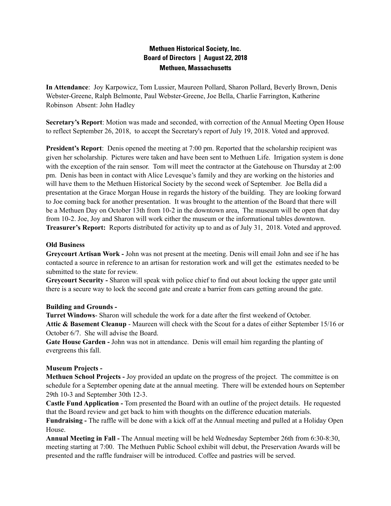# **Methuen Historical Society, Inc. Board of Directors | August 22, 2018 Methuen, Massachusetts**

**In Attendance**: Joy Karpowicz, Tom Lussier, Maureen Pollard, Sharon Pollard, Beverly Brown, Denis Webster-Greene, Ralph Belmonte, Paul Webster-Greene, Joe Bella, Charlie Farrington, Katherine Robinson Absent: John Hadley

**Secretary's Report**: Motion was made and seconded, with correction of the Annual Meeting Open House to reflect September 26, 2018, to accept the Secretary's report of July 19, 2018. Voted and approved.

**President's Report**: Denis opened the meeting at 7:00 pm. Reported that the scholarship recipient was given her scholarship. Pictures were taken and have been sent to Methuen Life. Irrigation system is done with the exception of the rain sensor. Tom will meet the contractor at the Gatehouse on Thursday at 2:00 pm. Denis has been in contact with Alice Levesque's family and they are working on the histories and will have them to the Methuen Historical Society by the second week of September. Joe Bella did a presentation at the Grace Morgan House in regards the history of the building. They are looking forward to Joe coming back for another presentation. It was brought to the attention of the Board that there will be a Methuen Day on October 13th from 10-2 in the downtown area, The museum will be open that day from 10-2. Joe, Joy and Sharon will work either the museum or the informational tables downtown. **Treasurer's Report:** Reports distributed for activity up to and as of July 31, 2018. Voted and approved.

#### **Old Business**

**Greycourt Artisan Work -** John was not present at the meeting. Denis will email John and see if he has contacted a source in reference to an artisan for restoration work and will get the estimates needed to be submitted to the state for review.

**Greycourt Security -** Sharon will speak with police chief to find out about locking the upper gate until there is a secure way to lock the second gate and create a barrier from cars getting around the gate.

### **Building and Grounds -**

**Turret Windows**- Sharon will schedule the work for a date after the first weekend of October. **Attic & Basement Cleanup** - Maureen will check with the Scout for a dates of either September 15/16 or October 6/7. She will advise the Board.

**Gate House Garden -** John was not in attendance. Denis will email him regarding the planting of evergreens this fall.

### **Museum Projects -**

**Methuen School Projects -** Joy provided an update on the progress of the project. The committee is on schedule for a September opening date at the annual meeting. There will be extended hours on September 29th 10-3 and September 30th 12-3.

**Castle Fund Application -** Tom presented the Board with an outline of the project details. He requested that the Board review and get back to him with thoughts on the difference education materials.

**Fundraising -** The raffle will be done with a kick off at the Annual meeting and pulled at a Holiday Open House.

**Annual Meeting in Fall -** The Annual meeting will be held Wednesday September 26th from 6:30-8:30, meeting starting at 7:00. The Methuen Public School exhibit will debut, the Preservation Awards will be presented and the raffle fundraiser will be introduced. Coffee and pastries will be served.